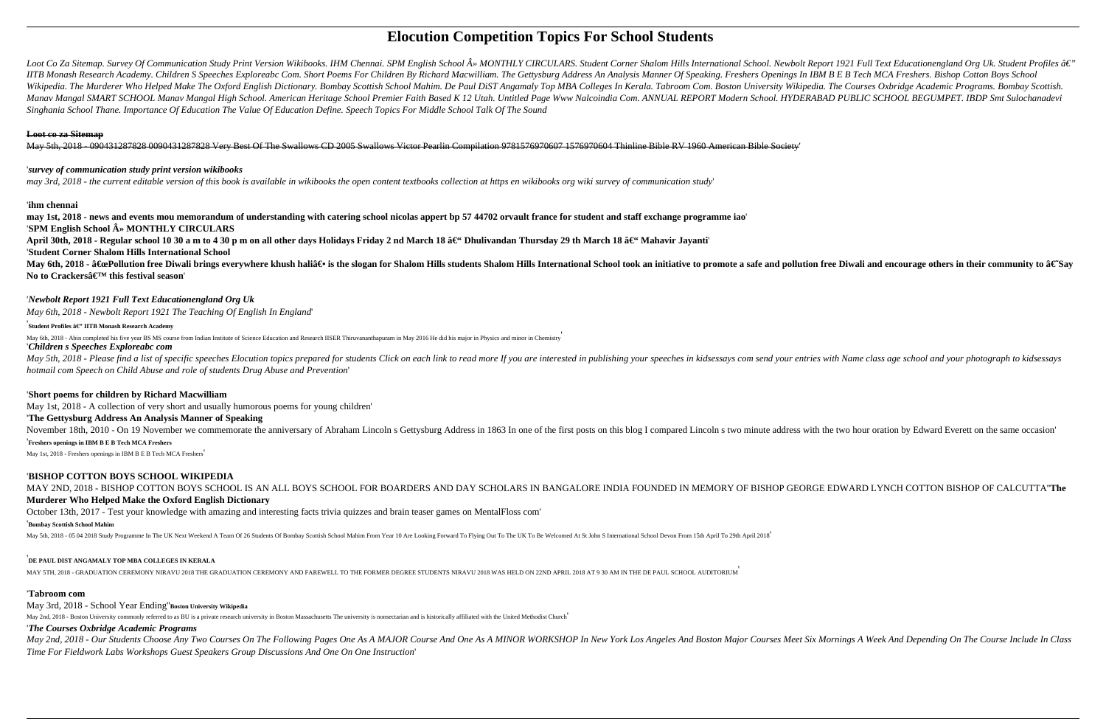# **Elocution Competition Topics For School Students**

Loot Co Za Sitemap. Survey Of Communication Study Print Version Wikibooks. IHM Chennai. SPM English School » MONTHLY CIRCULARS. Student Corner Shalom Hills International School. Newbolt Report 1921 Full Text Educationeng IITB Monash Research Academy. Children S Speeches Exploreabc Com. Short Poems For Children By Richard Macwilliam. The Gettysburg Address An Analysis Manner Of Speaking. Freshers Openings In IBM B E B Tech MCA Freshers. Bis Wikipedia. The Murderer Who Helped Make The Oxford English Dictionary, Bombay Scottish School Mahim. De Paul DiST Angamaly Top MBA Colleges In Kerala. Tabroom Com, Boston University Wikipedia. The Courses Oxbridge Academic Manay Mangal SMART SCHOOL Manay Mangal High School. American Heritage School Premier Faith Based K 12 Utah. Untitled Page Www Nalcoindia Com. ANNUAL REPORT Modern School. HYDERABAD PUBLIC SCHOOL BEGUMPET. IBDP Smt Sulochan *Singhania School Thane. Importance Of Education The Value Of Education Define. Speech Topics For Middle School Talk Of The Sound*

#### **Loot co za Sitemap**

May 5th, 2018 - 090431287828 0090431287828 Very Best Of The Swallows CD 2005 Swallows Victor Pearlin Compilation 9781576970607 1576970604 Thinline Bible RV 1960 American Bible Society'

#### '*survey of communication study print version wikibooks*

*may 3rd, 2018 - the current editable version of this book is available in wikibooks the open content textbooks collection at https en wikibooks org wiki survey of communication study*'

May 5th, 2018 - Please find a list of specific speeches Elocution topics prepared for students Click on each link to read more If you are interested in publishing your speeches in kidsessays com send your entries with Name *hotmail com Speech on Child Abuse and role of students Drug Abuse and Prevention*'

#### '**ihm chennai**

**may 1st, 2018 - news and events mou memorandum of understanding with catering school nicolas appert bp 57 44702 orvault france for student and staff exchange programme iao**' '**SPM English School » MONTHLY CIRCULARS**

April 30th, 2018 - Regular school 10 30 a m to 4 30 p m on all other days Holidays Friday 2 nd March 18 â€<sup>"</sup> Dhulivandan Thursday 29 th March 18 â€" Mahavir Jayanti

November 18th, 2010 - On 19 November we commemorate the anniversary of Abraham Lincoln s Gettysburg Address in 1863 In one of the first posts on this blog I compared Lincoln s two minute address with the two hour oration b '**Freshers openings in IBM B E B Tech MCA Freshers**

'**Student Corner Shalom Hills International School**

May 6th, 2018 - "Pollution free Diwali brings everywhere khush hali― is the slogan for Shalom Hills students Shalom Hills International School took an initiative to promote a safe and pollution free Diwali and encoura No to Crackersâ€<sup>™</sup> this festival season

### '*Newbolt Report 1921 Full Text Educationengland Org Uk*

*May 6th, 2018 - Newbolt Report 1921 The Teaching Of English In England*'

## <sup>'</sup><br>Student Profiles â€" IITB Monash Research Academy

May 6th, 2018 - Abin completed his five year BS MS course from Indian Institute of Science Education and Research IISER Thiruvananthapuram in May 2016 He did his major in Physics and minor in Chemistry

May 2nd, 2018 - Our Students Choose Any Two Courses On The Following Pages One As A MAJOR Course And One As A MINOR WORKSHOP In New York Los Angeles And Boston Major Courses Meet Six Mornings A Week And Depending On The Co *Time For Fieldwork Labs Workshops Guest Speakers Group Discussions And One On One Instruction*'

### '*Children s Speeches Exploreabc com*

#### '**Short poems for children by Richard Macwilliam**

May 1st, 2018 - A collection of very short and usually humorous poems for young children'

#### '**The Gettysburg Address An Analysis Manner of Speaking**

May 1st, 2018 - Freshers openings in IBM B E B Tech MCA Freshers'

#### '**BISHOP COTTON BOYS SCHOOL WIKIPEDIA**

MAY 2ND, 2018 - BISHOP COTTON BOYS SCHOOL IS AN ALL BOYS SCHOOL FOR BOARDERS AND DAY SCHOLARS IN BANGALORE INDIA FOUNDED IN MEMORY OF BISHOP GEORGE EDWARD LYNCH COTTON BISHOP OF CALCUTTA''**The Murderer Who Helped Make the Oxford English Dictionary**

October 13th, 2017 - Test your knowledge with amazing and interesting facts trivia quizzes and brain teaser games on MentalFloss com'

#### '**Bombay Scottish School Mahim**

May 5th, 2018 - 05 04 2018 Study Programme In The UK Next Weekend A Team Of 26 Students Of Bombay Scottish School Mahim From Year 10 Are Looking Forward To Flying Out To The UK To Be Welcomed At St John S International Sch

### '**DE PAUL DIST ANGAMALY TOP MBA COLLEGES IN KERALA**

MAY 5TH, 2018 - GRADUATION CEREMONY NIRAVU 2018 THE GRADUATION CEREMONY AND FAREWELL TO THE FORMER DEGREE STUDENTS NIRAVU 2018 WAS HELD ON 22ND APRIL 2018 AT 9 30 AM IN THE DE PAUL SCHOOL AUDITORIUM'

#### '**Tabroom com**

### May 3rd, 2018 - School Year Ending''**Boston University Wikipedia**

May 2nd, 2018 - Boston University commonly referred to as BU is a private research university in Boston Massachusetts The university is nonsectarian and is historically affiliated with the United Methodist Church

#### '*The Courses Oxbridge Academic Programs*